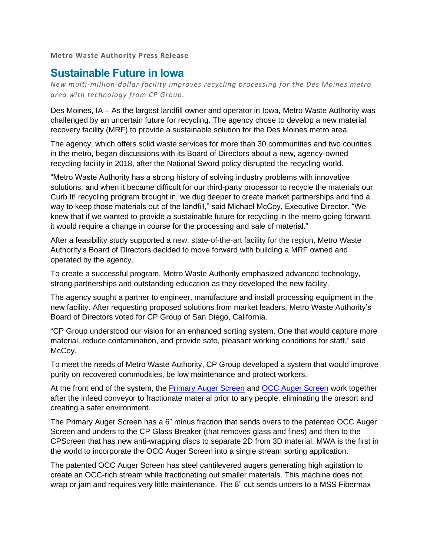**Metro Waste Authority Press Release**

## **Sustainable Future in Iowa**

*New multi-million-dollar facility improves recycling processing for the Des Moines metro area with technology from CP Group.*

Des Moines, IA – As the largest landfill owner and operator in Iowa, Metro Waste Authority was challenged by an uncertain future for recycling. The agency chose to develop a new material recovery facility (MRF) to provide a sustainable solution for the Des Moines metro area.

The agency, which offers solid waste services for more than 30 communities and two counties in the metro, began discussions with its Board of Directors about a new, agency-owned recycling facility in 2018, after the National Sword policy disrupted the recycling world.

"Metro Waste Authority has a strong history of solving industry problems with innovative solutions, and when it became difficult for our third-party processor to recycle the materials our Curb It! recycling program brought in, we dug deeper to create market partnerships and find a way to keep those materials out of the landfill," said Michael McCoy, Executive Director. "We knew that if we wanted to provide a sustainable future for recycling in the metro going forward, it would require a change in course for the processing and sale of material."

After a feasibility study supported a new, state-of-the-art facility for the region, Metro Waste Authority's Board of Directors decided to move forward with building a MRF owned and operated by the agency.

To create a successful program, Metro Waste Authority emphasized advanced technology, strong partnerships and outstanding education as they developed the new facility.

The agency sought a partner to engineer, manufacture and install processing equipment in the new facility. After requesting proposed solutions from market leaders, Metro Waste Authority's Board of Directors voted for CP Group of San Diego, California.

"CP Group understood our vision for an enhanced sorting system. One that would capture more material, reduce contamination, and provide safe, pleasant working conditions for staff," said McCoy.

To meet the needs of Metro Waste Authority, CP Group developed a system that would improve purity on recovered commodities, be low maintenance and protect workers.

At the front end of the system, the [Primary Auger Screen](https://www.cpgrp.com/recycling-equipment/disc-screen-separation/auger-screen/) and [OCC Auger Screen](http://www.cpgrp.com/occ-auger-screen) work together after the infeed conveyor to fractionate material prior to any people, eliminating the presort and creating a safer environment.

The Primary Auger Screen has a 6" minus fraction that sends overs to the patented OCC Auger Screen and unders to the CP Glass Breaker (that removes glass and fines) and then to the CPScreen that has new anti-wrapping discs to separate 2D from 3D material. MWA is the first in the world to incorporate the OCC Auger Screen into a single stream sorting application.

The patented OCC Auger Screen has steel cantilevered augers generating high agitation to create an OCC-rich stream while fractionating out smaller materials. This machine does not wrap or jam and requires very little maintenance. The 8" cut sends unders to a MSS Fibermax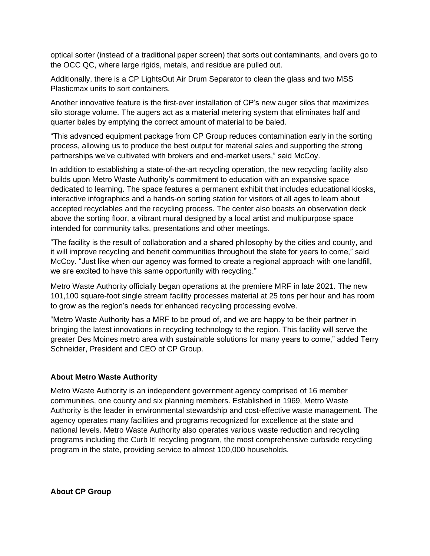optical sorter (instead of a traditional paper screen) that sorts out contaminants, and overs go to the OCC QC, where large rigids, metals, and residue are pulled out.

Additionally, there is a CP LightsOut Air Drum Separator to clean the glass and two MSS Plasticmax units to sort containers.

Another innovative feature is the first-ever installation of CP's new auger silos that maximizes silo storage volume. The augers act as a material metering system that eliminates half and quarter bales by emptying the correct amount of material to be baled.

"This advanced equipment package from CP Group reduces contamination early in the sorting process, allowing us to produce the best output for material sales and supporting the strong partnerships we've cultivated with brokers and end-market users," said McCoy.

In addition to establishing a state-of-the-art recycling operation, the new recycling facility also builds upon Metro Waste Authority's commitment to education with an expansive space dedicated to learning. The space features a permanent exhibit that includes educational kiosks, interactive infographics and a hands-on sorting station for visitors of all ages to learn about accepted recyclables and the recycling process. The center also boasts an observation deck above the sorting floor, a vibrant mural designed by a local artist and multipurpose space intended for community talks, presentations and other meetings.

"The facility is the result of collaboration and a shared philosophy by the cities and county, and it will improve recycling and benefit communities throughout the state for years to come," said McCoy. "Just like when our agency was formed to create a regional approach with one landfill, we are excited to have this same opportunity with recycling."

Metro Waste Authority officially began operations at the premiere MRF in late 2021. The new 101,100 square-foot single stream facility processes material at 25 tons per hour and has room to grow as the region's needs for enhanced recycling processing evolve.

"Metro Waste Authority has a MRF to be proud of, and we are happy to be their partner in bringing the latest innovations in recycling technology to the region. This facility will serve the greater Des Moines metro area with sustainable solutions for many years to come," added Terry Schneider, President and CEO of CP Group.

## **About Metro Waste Authority**

Metro Waste Authority is an independent government agency comprised of 16 member communities, one county and six planning members. Established in 1969, Metro Waste Authority is the leader in environmental stewardship and cost-effective waste management. The agency operates many facilities and programs recognized for excellence at the state and national levels. Metro Waste Authority also operates various waste reduction and recycling programs including the Curb It! recycling program, the most comprehensive curbside recycling program in the state, providing service to almost 100,000 households.

**About CP Group**